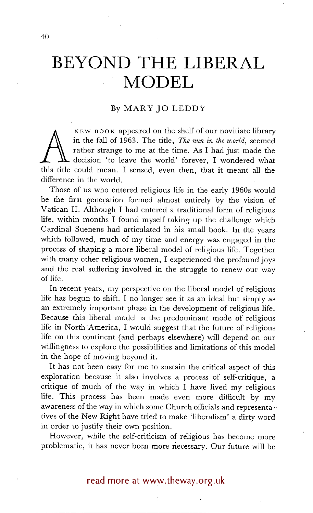# **BEYOND THE LIBERAL MODEL**

## By MARYJO LEDDY

in the fall of 1963. The title, *The nun in the world*, seemed<br>rather strange to me at the time. As I had just made the<br>decision 'to leave the world' forever, I wondered what<br>this title could mean. I sensed, even then, tha NEW BOOK appeared on the shelf of our novitiate library in the fall of 1963. The title, *The nun in the world,* seemed rather strange to me at the time. As I had just made the decision 'to leave the world' forever, I wondered what difference in the world.

Those of us who entered religious life in the early 1960s would be the first generation formed almost entirely by the vision of Vatican II. Although I had entered a traditional form of religious life, within months I found myself taking up the challenge which Cardinal Suenens had articulated in his small book. In the years which followed, much of my time and energy was engaged in the process of shaping a more liberal model of religious life. Together with many other religious women, I experienced the profound joys and the real suffering involved in the struggle to renew our way of life.

In recent years, my perspective on the liberal model of religious life has begun to shift. I no longer see it as an ideal but simply as an extremely important phase in the development of religious life. Because this liberal model is the predominant mode of religious life in North America, I would suggest that the future of religious life on this continent (and perhaps elsewhere) will depend on our willingness to explore the possibilities and limitations of this model in the hope of moving beyond it.

It has not been easy for me to sustain the critical aspect of this exploration because it also involves a process of self-critique, a critique of much of the way in which I have lived my religious life. This process has been made even more difficult by my awareness of the way in which some Church officials and representatives of the New Right have tried to make 'liberalism' a dirty word in order to justify their own position.

However, while the self-criticism of religious has become more problematic, it has never been more necessary. Our future will be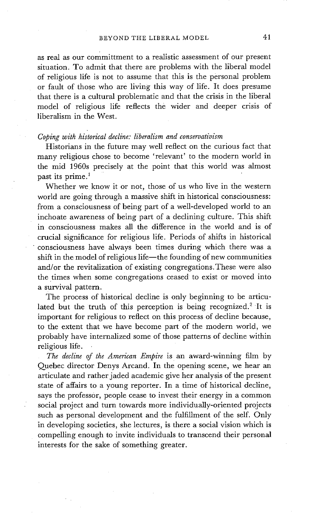as real as our committment to a realistic assessment of our present situation. To admit that there are problems with the liberal model of religious life is not to assume that this is the personal problem or fault of those who are living this way of life. It does presume that there is a cultural problematic and that the crisis in the liberal model of religious life reflects the wider and deeper crisis of liberalism in the West.

#### *Coping with historical decline: liberalism and conservativism*

Historians in the future may well reflect on the curious fact that many religious chose to become 'relevant' to the modern world in the mid 1960s precisely at the point that this world was almost past its prime.<sup>1</sup>

Whether we know it or not, those of us who live in the western world are going through a massive shift in historical consciousness: from a consciousness of being part of a well-developed world to an inchoate awareness of being part of a declining culture. This shift in consciousness makes all the difference in the world and is of crucial significance for religious life. Periods of shifts in historical 'consciousness have always been times during which there was a shift in the model of religious life-the founding of new communities and/or the revitalization of existing congregations.These were also the times when some congregations ceased to exist or moved into a survival pattern.

The process of historical decline is only beginning to be articulated but the truth of this perception is being recognized.<sup>2</sup> It is important for religious to reflect on this process of decline because, to the extent that we have become part of the modern world, we probably have internalized some of those patterns of decline within religious life.

*The decline of the American Empire* is an award-winning film by Quebec director Denys Arcand. In the opening scene, we hear an articulate and rather jaded academic give her analysis of the present state of affairs to a young reporter. In a time of historical decline, says the professor, people cease to invest their energy in a common social project and turn towards more individually-oriented projects such as personal development and the fulfillment of the self. Only in developing societies, she lectures, is there a social vision which is compelling enough to invite individuals to transcend their personal interests for the sake of something greater.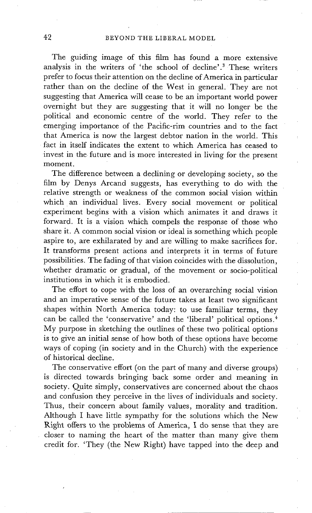The guiding image of this film has found a more extensive analysis in the writers of 'the school of decline'.<sup>3</sup> These writers prefer to focus their attention on the decline of America in particular rather than on the decline of the West in general. They are not suggesting that America will cease to be an important world power overnight but they are suggesting that it will no longer be the political and economic centre of the world. They refer to the emerging importance of the Pacific-rim countries and to the fact that America is now the largest debtor nation in the world. This fact in itself indicates the extent to which America has ceased to invest in the future and is more interested in living for the present moment.

The difference between a declining or developing society, so the film by Denys Arcand suggests, has everything to do with the relative strength or weakness of the common social vision within which an individual lives. Every social movement or political experiment begins with a vision which animates it and draws it forward. It is a vision which compels the response of those who share it. A common social vision or ideal is something which people aspire to, are exhilarated by and are willing to make sacrifices for. It transforms present actions and interprets it in terms of future possibilities. The fading of that vision coincides with the dissolution, whether dramatic or gradual, of the movement or socio-political institutions in which it is embodied.

The effort to cope with the loss of an overarching social vision and an imperative sense of the future takes at least two significant shapes within North America today: to use familiar terms, they can be called the 'conservative' and the 'liberal' political options.<sup>4</sup> My purpose in sketching the outlines of these two political options is to give an initial sense of how both of these options have become ways of coping (in society and in the Church) with the experience of historical decline.

The conservative effort (on the part of many and diverse groups) is directed towards bringing back some order and meaning in society. Quite simply, conservatives are concerned about the chaos and confusion they perceive in the lives of individuals and society. Thus, their concern about family values, morality and tradition. Although I have little sympathy for the solutions which the New Right offers to the problems of America, I do sense that they are closer to naming the heart of the matter than many give them credit for. 'They (the New Right) have tapped into the deep and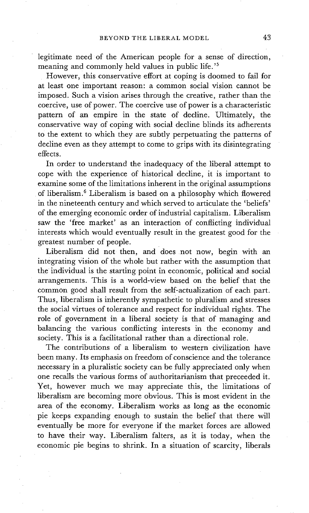legitimate need of the American people for a sense of direction, meaning and commonly held values in public life.<sup>'5</sup>

However, this conservative effort at coping is doomed to fail for at least one important reason: a common social vision cannot be imposed. Such a vision arises through the creative, rather than the coercive, use of power. The coercive use of power is a characteristic pattern of an empire in the state of decline. Ultimately, the conservative way of coping with social decline blinds its adherents to the extent to which they are subtly perpetuating the patterns of decline even as they attempt to come to grips with its disintegrating effects.

In order to understand the inadequacy of the liberal attempt to cope with the experience of historical decline, it is important to examine some of the limitations inherent in the original assumptions of liberalism. 6 Liberalism is based on a philosophy which flowered in the nineteenth century and which served to articulate the 'beliefs' of the emerging economic order of industrial capitalism. Liberalism saw the 'free market' as an interaction of conflicting individual interests which would eventually result in the greatest good for the greatest number of people.

Liberalism did not then, and does not now, begin with an integrating Vision of the whole but rather with the assumption that the individual is the starting point in economic, political and social arrangements. This is a world-view based on the belief that the common good shall result from the self-actualization of each part. Thus, liberalism is inherently sympathetic to pluralism and stresses the social virtues of tolerance and respect for individual rights. The role of government in a liberal society is that of managing and balancing the various conflicting interests in the economy and society. This is a facilitational rather than a directional role.

The contributions of a liberalism to western civilization have been many. Its emphasis on freedom of conscience and the tolerance necessary in a pluralistic society can be fully appreciated only when one recalls the various forms of authoritarianism that preceeded it. Yet, however much we may appreciate this, the limitations of liberalism are becoming more obvious. This is most evident in the area of the economy. Liberalism works as long as the economic pie keeps expanding enough to sustain the belief that there will eventually be more for everyone if the market forces are allowed to have their way. Liberalism falters, as it is today, when the economic pie begins to shrink. In a situation of scarcity, liberals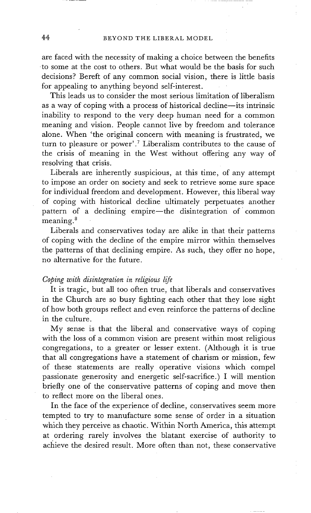are faced with the necessity of making a choice between the benefits to some at the cost to others. But what would be the basis for such decisions? Bereft of any common social vision, there is little basis for appealing to anything beyond self-interest.

This leads us to consider the most serious limitation of liberalism as a way of coping with a process of historical decline--its intrinsic inability to respond to the very deep human need for a common meaning and vision. People cannot live by freedom and tolerance alone. When 'the original concern with meaning is frustrated, we turn to pleasure or power'.<sup>7</sup> Liberalism contributes to the cause of the crisis of meaning in the West without offering any way of resolving that crisis.

Liberals are inherently suspicious, at this time, of any attempt to impose an order on society and seek to retrieve some sure space for individual freedom and development. However, this liberal way of coping with historical decline ultimately perpetuates another pattern of a declining empire-the disintegration of common meaning. 8

Liberals and conservatives today are alike in that their patterns of coping with the decline of the empire mirror within themselves the patterns of that declining empire. As such, they offer no hope, no alternative for the future.

#### *Coping with disintegration in religious life*

It is tragic, but all too often true, that liberals and conservatives in the Church are so busy fighting each other that they lose sight of how both groups reflect and even reinforce the patterns of decline in the culture.

My sense is that the liberal and conservative ways of coping with the loss of a common vision are present within most religious congregations, to a greater or lesser extent. (Although it is true that all congregations have a statement of charism or mission, few of these statements are really operative visions which compel passionate generosity and energetic self-sacrifice.) I will mention briefly one of the conservative patterns of coping and move then to reflect more on the liberal ones.

In the face of the experience of decline, conservatives seem more tempted to try to manufacture some sense of order in a situation which they perceive as chaotic. Within North America, this attempt at ordering rarely involves the blatant exercise of authority to achieve the desired result. More often than not, these conservative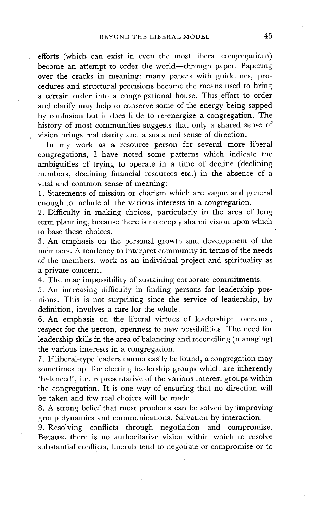efforts (which can exist in even the most liberal congregations) become an attempt to order the world--through paper. Papering over the cracks in meaning: many papers with guidelines, procedures and structural precisions become the means used to bring a certain order into a congregational house. This effort to order and clarify may help to conserve some of the energy being sapped by confusion but it does little to re-energize a congregation. The history of most communities suggests that only a shared sense of vision brings real clarity and a sustained sense of direction.

In my work as a resource person for several more liberal congregations, I have noted some patterns which indicate the ambiguities of trying to operate in a time of decline (declining numbers, declining financial resources etc.) in the absence of a vital and common sense of meaning:

1. Statements of mission or charism which are vague and general enough to include all the various interests in a congregation.

2. Difficulty in making choices, particularly in the area of long term planning, because there is no deeply shared vision upon which to base these choices.

3. An emphasis on the personal growth and development of the members. A tendency to interpret community in terms of the needs of the members, work as an individual project and spirituality as a private concern.

4. The near impossibility of sustaining corporate commitments.

5. An increasing difficuky in finding persons for leadership positions. This is not surprising since the service of leadership, by definition, involves a care for the whole.

6. An emphasis on the liberal virtues of leadership: tolerance, respect for the person, openness to new possibilities. The need for leadership skills in the area of balancing and reconciling (managing) the various interests in a congregation.

7. If liberal-type leaders cannot easily be found, a congregation may sometimes opt for electing leadership groups which are inherently 'balanced', i.e. representative of the various interest groups within the congregation. It is one way of ensuring that no direction will be taken and few real choices will be made.

8. A strong belief that most problems can be solved by improving group dynamics and communications. Salvation by interaction.

9. Resolving conflicts through negotiation and compromise. Because there is no authoritative vision within which to resolve substantial conflicts, liberals tend to negotiate or compromise or to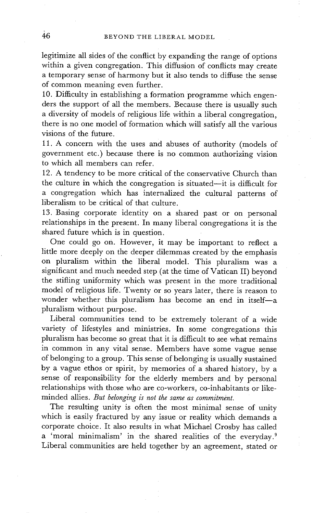legitimize all sides of the conflict by expanding the range of options within a given congregation. This diffusion of conflicts may create a temporary sense of harmony but it also tends to diffuse the sense of common meaning even further.

10. Difficulty in establishing a formation programme which engenders the support of all the members. Because there is usually such a diversity of models of religious life within a liberal congregation, there is no one model of formation which will satisfy all the various visions of the future.

11. A concern with the uses and abuses of authority (models of government etc.) because there is no common authorizing vision to which all members can refer.

12. A tendency to be more critical of the conservative Church than the culture in which the congregation is situated-it is difficult for a congregation Which has internalized the cultural patterns of liberalism to be critical of that culture.

13. Basing corporate identity on a shared past or on personal relationships in the present. In many liberal congregations it is the shared future which is in question.

One could go on. However, it may be important to reflect a little more deeply on the deeper dilemmas created by the emphasis on pluralism within the liberal model. This pluralism was a significant and much needed step(at the time of Vatican II) beyond the stifling uniformity which was present in the more traditional model of religious life. Twenty or so years later, there is reason to wonder whether this pluralism has become an end in itself-a pluralism without purpose.

Liberal communities tend to be extremely tolerant of a wide variety of lifestyles and ministries. In some congregations this pluralism has become so great that it is difficult to see what remains in common in any vital sense. Members have some vague sense of belonging to a group. This sense of belonging is usually sustained by a vague ethos or spirit, by memories of a shared history, by a sense of responsibility for the elderly members and by personal relationships with those who are co-workers, co-inhabitants or likeminded allies. But belonging is not the same as commitment.

The resulting unity is often the most minimal sense of unity which is easily fractured by any issue or reality which demands a corporate choice. It also results in what Michael Crosby has called a 'moral minimalism' in the shared realities of the everyday.<sup>9</sup> Liberal communities are held together by an agreement, stated or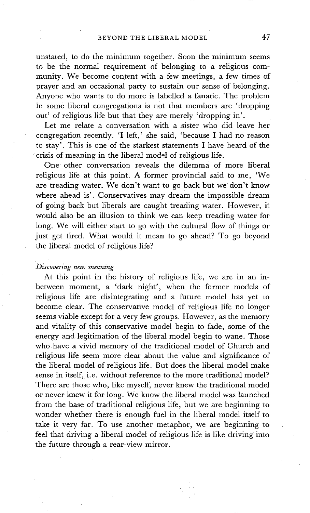unstated, to do the minimum together. Soon the minimum seems to be the normal requirement of belonging to a religious community. We become content with a few meetings, a few times of prayer and an occasional party to sustain our sense of belonging. Anyone who wants to do more is labelled a fanatic. The problem in some liberal congregations is not that members are 'dropping out' of religious life but that they are merely 'dropping in'.

Let me relate a conversation with a sister who did leave her congregation recently. 'I left,' she said, 'because I had no reason to stay'. This is one of the starkest statements I have heard of the crisis of meaning in the liberal model of religious life.

One Other conversation reveals the dilemma of more liberal religious life at this point. A former provincial said to me, 'We are treading water. We don't want to go back but we don't know where ahead is'. Conservatives may dream the impossible dream of going back but liberals are caught treading water. However, it would also be an illusion to think we can keep treading water for long. We will either start to go with the cultural flow of things or just get tired. What would it mean to go ahead? To go beyond the liberal model of religious life?

#### *Discovering new meaning*

At this point in the history of religious life, we are in an inbetween moment, a 'dark night', when the former models of religious life are disintegrating and a future model has yet to become clear. The conservative model of religious life no longer seems viable except for a very few groups. However, as the memory and vitality of this conservative model begin to fade, some of the energy and legitimation of the liberal model begin to wane. Those who have a vivid memory of the traditional model of Church and religious life seem more clear about the value and significance of the liberal model of religious life. But does the liberal model make sense in itself, i.e. without reference to the more traditional model? There are those who, like myself, never knew the traditional model or never knew it for long. We know the liberal model was launched from the base of traditional religious life, but we are beginning to wonder whether there is enough fuel in the liberal model itself to take it very far. To use another metaphor, we are beginning to feel that driving a liberal model of religious life is like driving into the future through a rear-view mirror.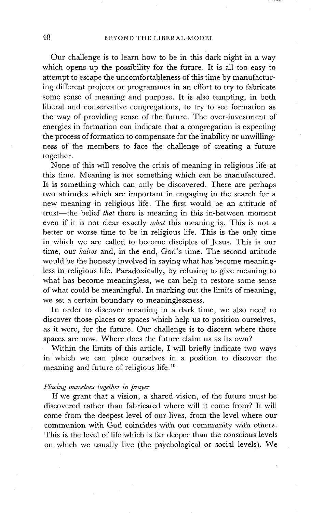Our challenge is to learn how to be in this dark night in a way which opens up the possibility for the future. It is all too easy to attempt to escape the uncomfortableness of this time by manufacturing different projects or programmes in an effort to try to fabricate some sense of meaning and purpose. It is also tempting, in both liberal and conservative congregations, to try to see formation as the way of providing sense of the future. The over-investment of energies in formation can indicate that a congregation is expecting the process of formation to compensate for the inability or unwillingness of the members to face the challenge of creating a future together.

None of this will resolve the crisis of meaning in religious life at this time. Meaning is not something which can be manufactured. It is something which can only be discovered. There are perhaps two attitudes which are important in engaging in the search for a new meaning in religious life. The first would be an attitude of trust-the belief *that* there is meaning in this in-between moment even if it is not clear exactly *what* this meaning is. This is not a better or worse time to be in religious life. This is the only time in which we are called to become disciples of Jesus. This is our time, our *kairos* and, in the end, God's time. The second attitude would be the honesty involved in saying what has become meaningless in religious life. Paradoxically, by refusing to give meaning to what has become meaningless, we can help to restore some sense of what could be meaningful. In marking out the limits of meaning, we set a certain boundary to meaninglessness.

In order to discover meaning in a dark time, we also need to discover those places or spaces which help us to position ourselves, as it were, for the future. Our challenge is to discern where those spaces are now. Where does the future claim us as its own?

Within the limits of this article, I will briefly indicate two ways in which we can place ourselves in a position to discover the meaning and future of religious life.<sup>10</sup>

#### *Placing ourselves together in prayer*

If we grant that a vision, a shared vision, of the future must be discovered rather than fabricated where will it come from? It will come from the deepest level of our lives, from the level where our communion with God coincides with our community with others. This is the level of life which is far deeper than the conscious levels on which we usually live (the psychological or social levels). We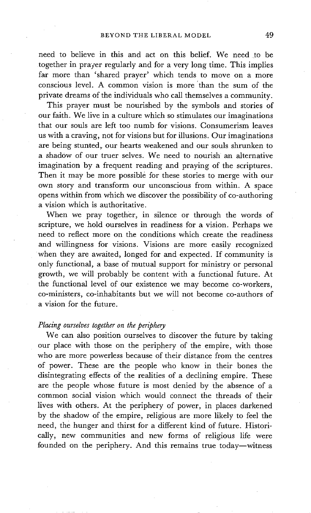need to believe in this and act on this belief. We need to be together in prayer regularly and for a very long time. This implies far more than 'shared prayer' which tends to move on a more conscious level. A common vision is more 'than the sum of the private dreams of the individuals who call themselves a community.

This prayer must be nourished by the symbols and stories of our faith. We live in a culture which so stimulates our imaginations that our souls are left too numb for visions. Consumerism leaves us with a craving, not for visions but for illusions. Our imaginations are being stunted, our hearts weakened and our souls shrunken to a shadow of our truer selves. We need to nourish an alternative imagination by a frequent reading and praying of the scriptures. Then it may be more possible for these stories to merge with our own story and transform our unconscious from within. A space opens within from which we discover the possibility of co-authoring a vision which is authoritative.

When we pray together, in silence or through the words of scripture, we hold ourselves in readiness for a vision. Perhaps we need to reflect more on the conditions which create the readiness and willingness for visions. Visions are more easily recognized when they are awaited, longed for and expected. If community is only functional, a base of mutual support for ministry or personal growth, we will probably be content with a functional future. At the functional level of our existence we may become co-workers, co-ministers, co-inhabitants but we will not become co-authors of a vision for the future.

#### *Placing ourselves together on the periphery*

We can also position ourselves to discover the future by taking our place with those on the periphery of the empire, with those who are more powerless because of their distance from the centres of power. These are the people who know in their bones the disintegrating effects of the realities of a declining empire. These are the people whose future is most denied by the absence of a common social vision which would connect the threads of their lives with others. At the periphery of power, in places darkened by the shadow of the empire, religious are more likely to feel the need, the hunger and thirst for a different kind of future. Historically, new communities and new forms of religious life were founded on the periphery. And this remains true today-witness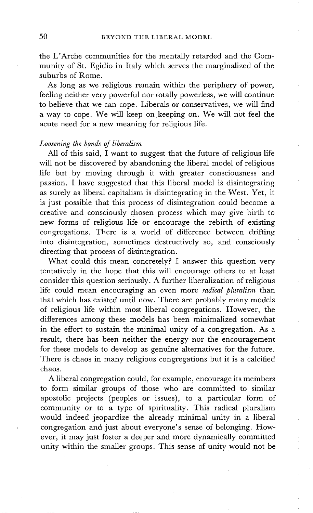the L'Arche communities for the mentally retarded and the Community of St. Egidio in Italy which serves the marginalized of the suburbs of Rome.

As long as we religious remain within the periphery of power, feeling neither very powerful nor totally powerless, we will continue to believe that we can cope. Liberals or conservatives, we will find a way to cope. We will keep on keeping on. We will not feel the acute need for a new meaning for religious life.

### *Loosening the bonds of liberalism*

All of this said, I want to suggest that the future of religious life will not be discovered by abandoning the liberal model of religious life but by moving through it with greater consciousness and passion. I have suggested that this liberal model is disintegrating as surely as liberal capitalism is disintegrating in the West. Yet, it is just possible that this process of disintegration could become a creative and consciously chosen process which may give birth to new forms of religious life or encourage the rebirth of existing congregations. There is a world of difference between drifting into disintegration, sometimes destructively so, and consciously directing that process of disintegration.

What could this mean concretely? I answer this question very tentatively in the hope that this will encourage others to at least consider this question seriously. A further liberalization of religious life could mean encouraging an even more *radical pluralism* than that which has existed until now. There are probably many models of religious life within most liberal congregations. However, the differences among these models has been minimalized somewhat in the effort to sustain the minimal unity of a congregation. As a result, there has been neither the energy nor the encouragement for these models to develop as genuine alternatives for the future. There is chaos in many religious congregations but it is a calcified chaos.

A liberal congregation could, for example, encourage its members to form similar groups of those who are committed to similar apostolic projects (peoples or issues), to a particular form of community or to a type of spirituality. This radical pluralism would indeed jeopardize the already minimal unity in a liberal congregation and just about everyone's sense of belonging. However, it may just foster a deeper and more dynamically committed unity within the smaller groups. This sense of unity would not be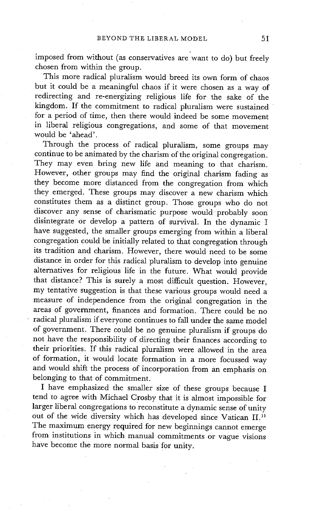imposed from without (as conservatives are want to do) but freely chosen from within the group.

This more radical pluralism would breed its own form of chaos but it could be a meaningful chaos if it were chosen as a way of redirecting and re-energizing religious life for the sake of the kingdom. If the commitment to radical pluralism were sustained for a period of time, then there would indeed be some movement in liberal religious congregations, and some of that movement would be 'ahead'.

Through the process of radical pluralism, some groups may continue to be animated by the charism of the original congregation. They may even bring new life and meaning to that charism. However, other groups may find the original charism fading as they become more distanced from the congregation from which they emerged. These groups may discover a new charism which constitutes them as a distinct group. Those groups who do not discover any sense of charismatic purpose would probably soon disintegrate or develop a pattern of survival. In the dynamic I have suggested, the smaller groups emerging from within a liberal congregation could be initially related to that congregation through its tradition and charism. However, there would need to be some distance in order for this radical pluralism to develop into genuine alternatives for religious life in the future. What would provide that distance? This is surely a most difficult question. However, my tentative suggestion is that these various groups would need a measure of independence from the original congregation in the areas of government, finances and formation. There could be no • radical pluralism if everyone continues to fall under the same model of government. There could be no genuine pluralism if groups do not have the responsibility of directing their finances according to their priorities. If this radical pluralism were allowed in the area of formation, it would locate formation in a more focussed way and would shift the process of incorporation from an emphasis on belonging to that of commitment.

I have emphasized the smaller size of these groups because I tend to agree with Michael Crosby that it is almost impossible for larger liberal congregations to reconstitute a dynamic sense of unity out of the wide diversity which has developed since Vatican II. 11 The maximum energy required for new beginnings cannot emerge from institutions in which manual commitments or vague visions have become the more normal basis for unity.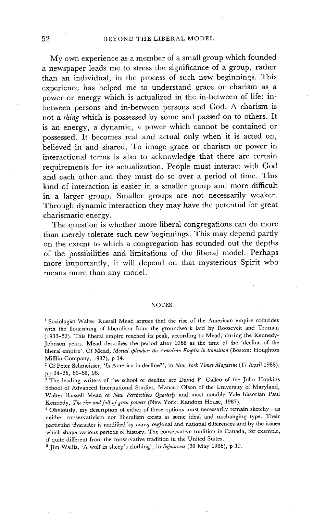My own experience as a member of a small group which founded a newspaper leads me to stress the significance of a group, rather than an individual, in the process of such new beginnings. This experience has helped me to understand grace or charism as a power or energy which is actualized in the in-between of life: inbetween persons and in-between persons and God. A charism is not a *thing* which is possessed by some and passed on to others. It is an energy, a dynamic, a power which cannot be contained or possessed. It becomes real and actual only when it is acted on, believed in and shared. To image grace or charism or power in interactional terms is also to acknowledge that there are certain requirements for its actualization. People must interact with God and each other and they must do so over a period of time. This kind of interaction is easier in a smaller group and more difficult in a larger group. Smaller groups are not necessarily weaker. Through dynamic interaction they may have the potential for great charismatic energy.

The question is whether more liberal congregations can do more than merely tolerate such new beginnings. This may depend partly on the extent to which a congregation has sounded out the depths of the possibilities and limitations of the liberal model. Perhaps more importantly, it will depend on that mysterious Spirit who means more than any model.

#### NOTES

<sup>1</sup> Sociologist Walter Russell Mead argues that the rise of the American empire coincides with the flourishing of liberalism from the groundwork laid by Roosevelt and Truman (1933-52). This liberal empire reached its peak, according to Mead, during the Kennedy-Johnson years. Mead describes the period after 1968 as the time of the 'decline of the liberal empire'. Cf Mead, *Mortal splendor: the American Empire in transition* (Boston: Houghton Mifflin Company, 1987), p 34.

2 Cf Peter Schmeisser, 'Is America in decline?', in *New York Times Magazine* (17 April 1988), pp 24-26, 66-68, 96.

<sup>3</sup> The leading writers of the school of decline are David P. Calleo of the John Hopkins School of Advanced International Studies, Mancur Olson of the University of Maryland, Walter Russell Mead of *New Perspectives Quarterly* and most notably Yale historian Paul Kennedy, *The rise and fall of great powers* (New York: Random House, 1987).

<sup>4</sup> Obviously, my description of either of these options must necessarily remain sketchy-as neither conservativism nor liberalism exists as some ideal and unchanging type. Their particular character is modified by many regional and national differences and by the issues which shape various periods of history. The conservative tradition in Canada, for example, if quite different from the conservative tradition in the United States.

5 Jim Wallis, 'A wolf in sheep's clothing', in *Sojourners* (20 May 1986), p 19.